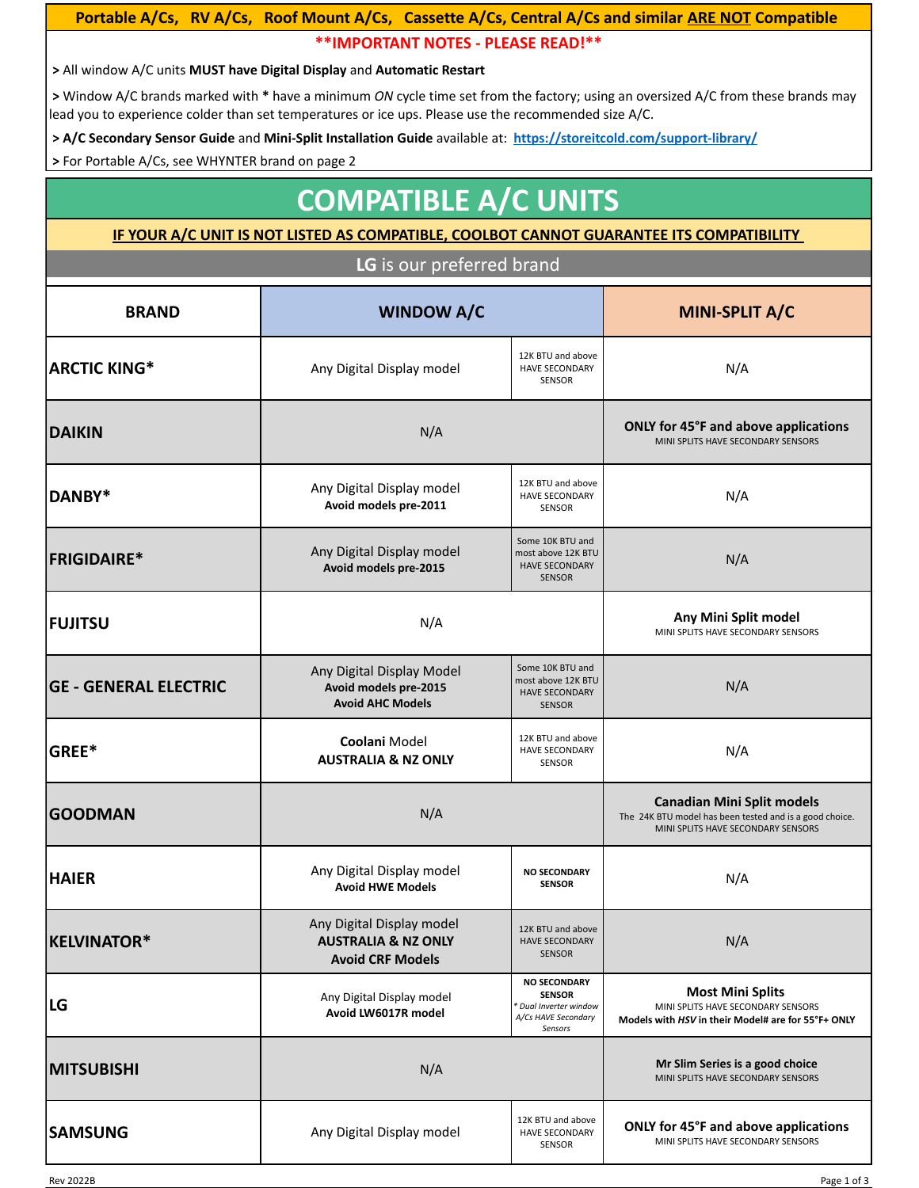### Portable A/Cs, RV A/Cs, Roof Mount A/Cs, Cassette A/Cs, Central A/Cs and similar **ARE NOT Compatible \*\*IMPORTANT NOTES - PLEASE READ!\*\***

**>** All window A/C units **MUST have Digital Display** and **Automatic Restart**

**>** Window A/C brands marked with **\*** have a minimum *ON* cycle time set from the factory; using an oversized A/C from these brands may lead you to experience colder than set temperatures or ice ups. Please use the recommended size A/C.

 **> A/C Secondary Sensor Guide** and **Mini-Split Installation Guide** available at: **<https://storeitcold.com/support-library/>**

**>** For Portable A/Cs, see WHYNTER brand on page 2

## **COMPATIBLE A/C UNITS**

#### **IF YOUR A/C UNIT IS NOT LISTED AS COMPATIBLE, COOLBOT CANNOT GUARANTEE ITS COMPATIBILITY**

**LG** is our preferred brand

| <b>BRAND</b>                 | <b>WINDOW A/C</b>                                                                      |                                                                                                  | MINI-SPLIT A/C                                                                                                                     |
|------------------------------|----------------------------------------------------------------------------------------|--------------------------------------------------------------------------------------------------|------------------------------------------------------------------------------------------------------------------------------------|
| <b>ARCTIC KING*</b>          | Any Digital Display model                                                              | 12K BTU and above<br><b>HAVE SECONDARY</b><br>SENSOR                                             | N/A                                                                                                                                |
| <b>DAIKIN</b>                | N/A                                                                                    |                                                                                                  | ONLY for 45°F and above applications<br>MINI SPLITS HAVE SECONDARY SENSORS                                                         |
| DANBY*                       | Any Digital Display model<br>Avoid models pre-2011                                     | 12K BTU and above<br><b>HAVE SECONDARY</b><br>SENSOR                                             | N/A                                                                                                                                |
| <b>FRIGIDAIRE*</b>           | Any Digital Display model<br>Avoid models pre-2015                                     | Some 10K BTU and<br>most above 12K BTU<br><b>HAVE SECONDARY</b><br><b>SENSOR</b>                 | N/A                                                                                                                                |
| <b>FUJITSU</b>               | N/A                                                                                    |                                                                                                  | Any Mini Split model<br>MINI SPLITS HAVE SECONDARY SENSORS                                                                         |
| <b>GE - GENERAL ELECTRIC</b> | Any Digital Display Model<br>Avoid models pre-2015<br><b>Avoid AHC Models</b>          | Some 10K BTU and<br>most above 12K BTU<br><b>HAVE SECONDARY</b><br><b>SENSOR</b>                 | N/A                                                                                                                                |
| GREE*                        | <b>Coolani Model</b><br><b>AUSTRALIA &amp; NZ ONLY</b>                                 | 12K BTU and above<br><b>HAVE SECONDARY</b><br>SENSOR                                             | N/A                                                                                                                                |
| <b>GOODMAN</b>               | N/A                                                                                    |                                                                                                  | <b>Canadian Mini Split models</b><br>The 24K BTU model has been tested and is a good choice.<br>MINI SPLITS HAVE SECONDARY SENSORS |
| <b>HAIER</b>                 | Any Digital Display model<br><b>Avoid HWE Models</b>                                   | <b>NO SECONDARY</b><br><b>SENSOR</b>                                                             | N/A                                                                                                                                |
| KELVINATOR*                  | Any Digital Display model<br><b>AUSTRALIA &amp; NZ ONLY</b><br><b>Avoid CRF Models</b> | 12K BTU and above<br><b>HAVE SECONDARY</b><br><b>SENSOR</b>                                      | N/A                                                                                                                                |
| LG                           | Any Digital Display model<br>Avoid LW6017R model                                       | <b>NO SECONDARY</b><br><b>SENSOR</b><br>* Dual Inverter window<br>A/Cs HAVE Secondary<br>Sensors | <b>Most Mini Splits</b><br>MINI SPLITS HAVE SECONDARY SENSORS<br>Models with HSV in their Model# are for 55°F+ ONLY                |
| <b>MITSUBISHI</b>            | N/A                                                                                    |                                                                                                  | Mr Slim Series is a good choice<br>MINI SPLITS HAVE SECONDARY SENSORS                                                              |
| <b>SAMSUNG</b>               | Any Digital Display model                                                              | 12K BTU and above<br><b>HAVE SECONDARY</b><br>SENSOR                                             | ONLY for 45°F and above applications<br>MINI SPLITS HAVE SECONDARY SENSORS                                                         |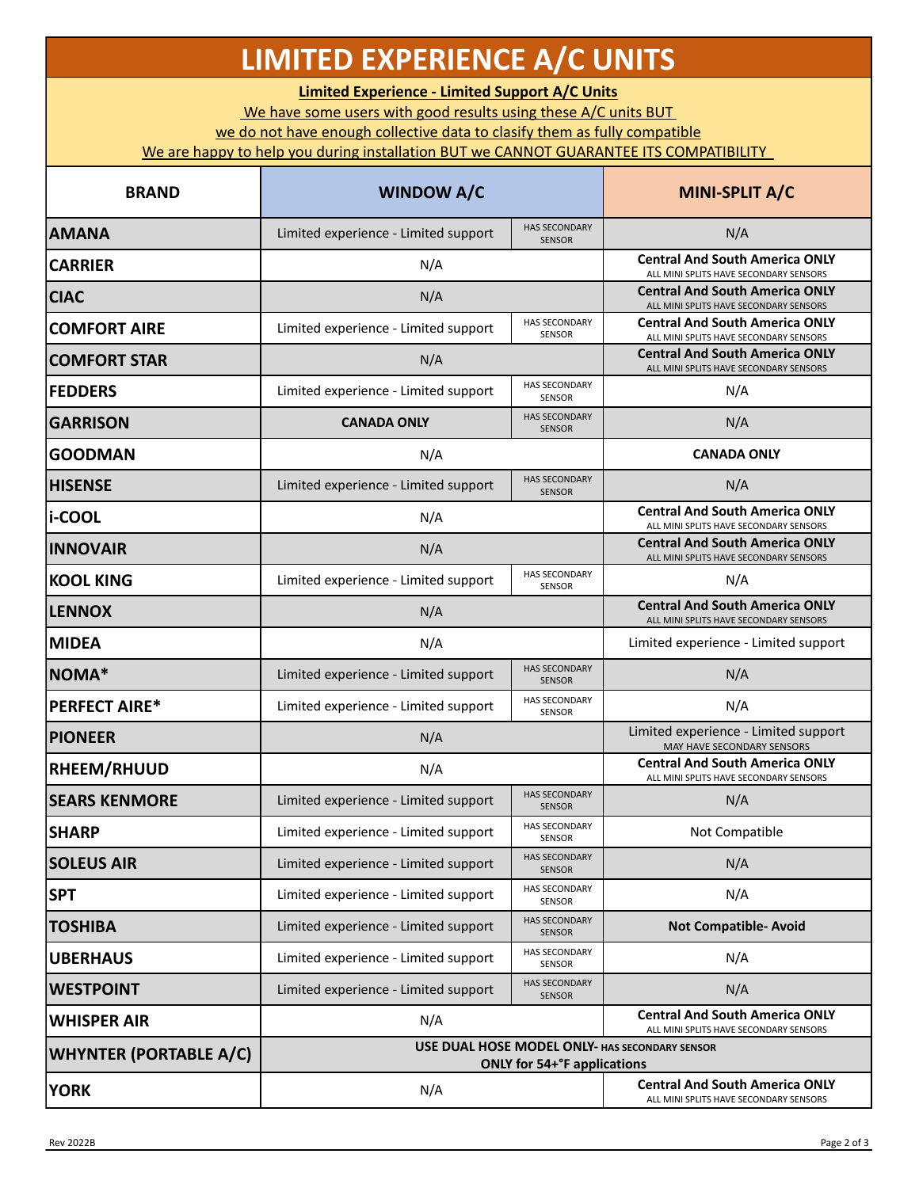# **LIMITED EXPERIENCE A/C UNITS**

**Limited Experience - Limited Support A/C Units**

We have some users with good results using these A/C units BUT

we do not have enough collective data to clasify them as fully compatible

We are happy to help you during installation BUT we CANNOT GUARANTEE ITS COMPATIBILITY

| <b>BRAND</b>                  | <b>WINDOW A/C</b>                                                                    |                                       | MINI-SPLIT A/C                                                                  |
|-------------------------------|--------------------------------------------------------------------------------------|---------------------------------------|---------------------------------------------------------------------------------|
| <b>AMANA</b>                  | Limited experience - Limited support                                                 | <b>HAS SECONDARY</b><br><b>SENSOR</b> | N/A                                                                             |
| <b>CARRIER</b>                | N/A                                                                                  |                                       | <b>Central And South America ONLY</b><br>ALL MINI SPLITS HAVE SECONDARY SENSORS |
| <b>CIAC</b>                   | N/A                                                                                  |                                       | <b>Central And South America ONLY</b><br>ALL MINI SPLITS HAVE SECONDARY SENSORS |
| <b>COMFORT AIRE</b>           | Limited experience - Limited support                                                 | HAS SECONDARY<br><b>SENSOR</b>        | <b>Central And South America ONLY</b><br>ALL MINI SPLITS HAVE SECONDARY SENSORS |
| <b>COMFORT STAR</b>           | N/A                                                                                  |                                       | <b>Central And South America ONLY</b><br>ALL MINI SPLITS HAVE SECONDARY SENSORS |
| <b>FEDDERS</b>                | Limited experience - Limited support                                                 | <b>HAS SECONDARY</b><br><b>SENSOR</b> | N/A                                                                             |
| <b>GARRISON</b>               | <b>CANADA ONLY</b>                                                                   | <b>HAS SECONDARY</b><br><b>SENSOR</b> | N/A                                                                             |
| <b>GOODMAN</b>                | N/A                                                                                  |                                       | <b>CANADA ONLY</b>                                                              |
| <b>HISENSE</b>                | Limited experience - Limited support                                                 | <b>HAS SECONDARY</b><br><b>SENSOR</b> | N/A                                                                             |
| li-COOL                       | N/A                                                                                  |                                       | <b>Central And South America ONLY</b><br>ALL MINI SPLITS HAVE SECONDARY SENSORS |
| <b>INNOVAIR</b>               | N/A                                                                                  |                                       | <b>Central And South America ONLY</b><br>ALL MINI SPLITS HAVE SECONDARY SENSORS |
| <b>KOOL KING</b>              | Limited experience - Limited support                                                 | <b>HAS SECONDARY</b><br><b>SENSOR</b> | N/A                                                                             |
| <b>ILENNOX</b>                | N/A                                                                                  |                                       | <b>Central And South America ONLY</b><br>ALL MINI SPLITS HAVE SECONDARY SENSORS |
| <b>MIDEA</b>                  | N/A                                                                                  |                                       | Limited experience - Limited support                                            |
| NOMA*                         | Limited experience - Limited support                                                 | <b>HAS SECONDARY</b><br><b>SENSOR</b> | N/A                                                                             |
| <b>PERFECT AIRE*</b>          | Limited experience - Limited support                                                 | <b>HAS SECONDARY</b><br>SENSOR        | N/A                                                                             |
| <b>PIONEER</b>                | N/A                                                                                  |                                       | Limited experience - Limited support<br>MAY HAVE SECONDARY SENSORS              |
| <b>RHEEM/RHUUD</b>            | N/A                                                                                  |                                       | <b>Central And South America ONLY</b><br>ALL MINI SPLITS HAVE SECONDARY SENSORS |
| <b>SEARS KENMORE</b>          | Limited experience - Limited support                                                 | <b>HAS SECONDARY</b><br><b>SENSOR</b> | N/A                                                                             |
| <b>SHARP</b>                  | Limited experience - Limited support                                                 | <b>HAS SECONDARY</b><br><b>SENSOR</b> | Not Compatible                                                                  |
| <b>SOLEUS AIR</b>             | Limited experience - Limited support                                                 | <b>HAS SECONDARY</b><br><b>SENSOR</b> | N/A                                                                             |
| <b>SPT</b>                    | Limited experience - Limited support                                                 | <b>HAS SECONDARY</b><br>SENSOR        | N/A                                                                             |
| <b>TOSHIBA</b>                | Limited experience - Limited support                                                 | <b>HAS SECONDARY</b><br><b>SENSOR</b> | <b>Not Compatible- Avoid</b>                                                    |
| <b>UBERHAUS</b>               | Limited experience - Limited support                                                 | <b>HAS SECONDARY</b><br>SENSOR        | N/A                                                                             |
| <b>WESTPOINT</b>              | Limited experience - Limited support                                                 | <b>HAS SECONDARY</b><br><b>SENSOR</b> | N/A                                                                             |
| WHISPER AIR                   | N/A                                                                                  |                                       | <b>Central And South America ONLY</b><br>ALL MINI SPLITS HAVE SECONDARY SENSORS |
| <b>WHYNTER (PORTABLE A/C)</b> | USE DUAL HOSE MODEL ONLY- HAS SECONDARY SENSOR<br><b>ONLY for 54+°F applications</b> |                                       |                                                                                 |
| <b>YORK</b>                   | N/A                                                                                  |                                       | <b>Central And South America ONLY</b><br>ALL MINI SPLITS HAVE SECONDARY SENSORS |